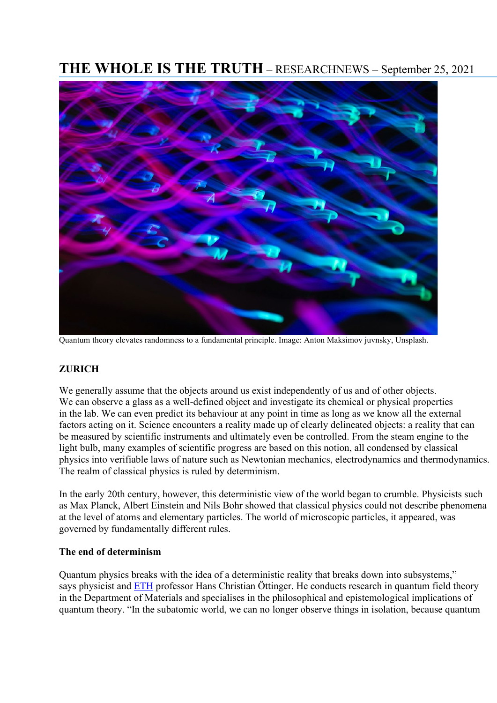# **THE WHOLE IS THE TRUTH** – RESEARCHNEWS – September 25, 2021



Quantum theory elevates randomness to a fundamental principle. Image: Anton Maksimov juvnsky, Unsplash.

## **ZURICH**

We generally assume that the objects around us exist independently of us and of other objects. We can observe a glass as a well-defined object and investigate its chemical or physical properties in the lab. We can even predict its behaviour at any point in time as long as we know all the external factors acting on it. Science encounters a reality made up of clearly delineated objects: a reality that can be measured by scientific instruments and ultimately even be controlled. From the steam engine to the light bulb, many examples of scientific progress are based on this notion, all condensed by classical physics into verifiable laws of nature such as Newtonian mechanics, electrodynamics and thermodynamics. The realm of classical physics is ruled by determinism.

In the early 20th century, however, this deterministic view of the world began to crumble. Physicists such as Max Planck, Albert Einstein and Nils Bohr showed that classical physics could not describe phenomena at the level of atoms and elementary particles. The world of microscopic particles, it appeared, was governed by fundamentally different rules.

#### **The end of determinism**

Quantum physics breaks with the idea of a deterministic reality that breaks down into subsystems," says physicist and [ETH](https://ethz.ch/de.html) professor Hans Christian Öttinger. He conducts research in quantum field theory in the Department of Materials and specialises in the philosophical and epistemological implications of quantum theory. "In the subatomic world, we can no longer observe things in isolation, because quantum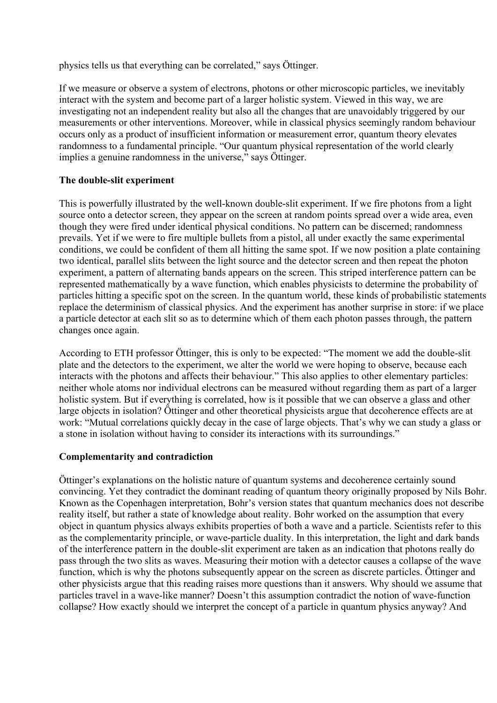physics tells us that everything can be correlated," says Öttinger.

If we measure or observe a system of electrons, photons or other microscopic particles, we inevitably interact with the system and become part of a larger holistic system. Viewed in this way, we are investigating not an independent reality but also all the changes that are unavoidably triggered by our measurements or other interventions. Moreover, while in classical physics seemingly random behaviour occurs only as a product of insufficient information or measurement error, quantum theory elevates randomness to a fundamental principle. "Our quantum physical representation of the world clearly implies a genuine randomness in the universe," says Öttinger.

### **The double-slit experiment**

This is powerfully illustrated by the well-known double-slit experiment. If we fire photons from a light source onto a detector screen, they appear on the screen at random points spread over a wide area, even though they were fired under identical physical conditions. No pattern can be discerned; randomness prevails. Yet if we were to fire multiple bullets from a pistol, all under exactly the same experimental conditions, we could be confident of them all hitting the same spot. If we now position a plate containing two identical, parallel slits between the light source and the detector screen and then repeat the photon experiment, a pattern of alternating bands appears on the screen. This striped interference pattern can be represented mathematically by a wave function, which enables physicists to determine the probability of particles hitting a specific spot on the screen. In the quantum world, these kinds of probabilistic statements replace the determinism of classical physics. And the experiment has another surprise in store: if we place a particle detector at each slit so as to determine which of them each photon passes through, the pattern changes once again.

According to ETH professor Öttinger, this is only to be expected: "The moment we add the double-slit plate and the detectors to the experiment, we alter the world we were hoping to observe, because each interacts with the photons and affects their behaviour." This also applies to other elementary particles: neither whole atoms nor individual electrons can be measured without regarding them as part of a larger holistic system. But if everything is correlated, how is it possible that we can observe a glass and other large objects in isolation? Öttinger and other theoretical physicists argue that decoherence effects are at work: "Mutual correlations quickly decay in the case of large objects. That's why we can study a glass or a stone in isolation without having to consider its interactions with its surroundings."

## **Complementarity and contradiction**

Öttinger's explanations on the holistic nature of quantum systems and decoherence certainly sound convincing. Yet they contradict the dominant reading of quantum theory originally proposed by Nils Bohr. Known as the Copenhagen interpretation, Bohr's version states that quantum mechanics does not describe reality itself, but rather a state of knowledge about reality. Bohr worked on the assumption that every object in quantum physics always exhibits properties of both a wave and a particle. Scientists refer to this as the complementarity principle, or wave-particle duality. In this interpretation, the light and dark bands of the interference pattern in the double-slit experiment are taken as an indication that photons really do pass through the two slits as waves. Measuring their motion with a detector causes a collapse of the wave function, which is why the photons subsequently appear on the screen as discrete particles. Öttinger and other physicists argue that this reading raises more questions than it answers. Why should we assume that particles travel in a wave-like manner? Doesn't this assumption contradict the notion of wave-function collapse? How exactly should we interpret the concept of a particle in quantum physics anyway? And